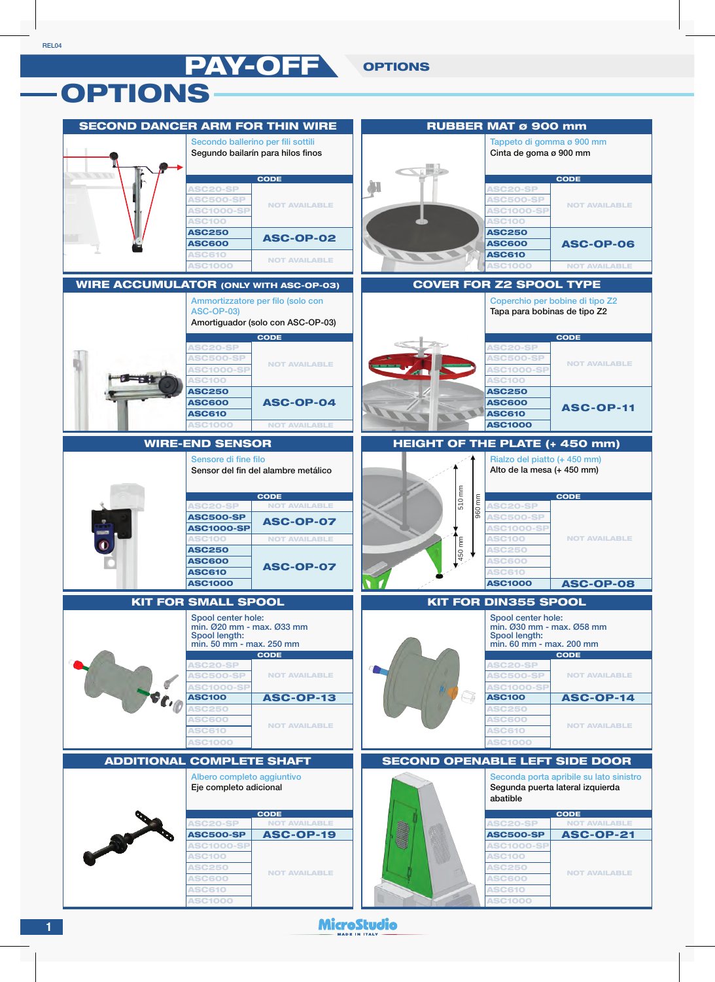PAY-OFF OPTIONS

## OPTIONS